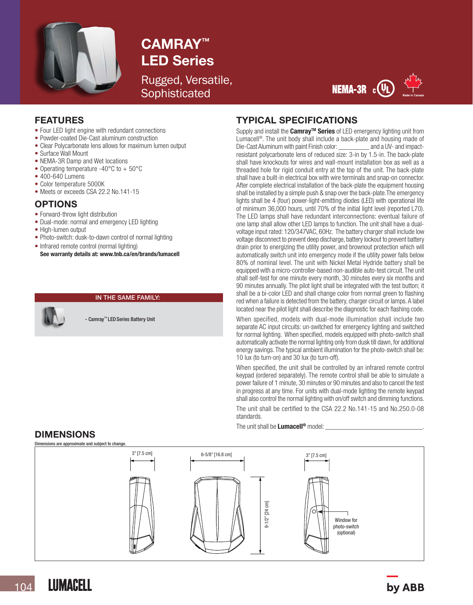

# CAMRAY™ LED Series

Rugged, Versatile, **Sophisticated** 



### FEATURES

- Four LED light engine with redundant connections
- Powder-coated Die-Cast aluminum construction
- Clear Polycarbonate lens allows for maximum lumen output
- Surface Wall Mount
- NEMA-3R Damp and Wet locations
- Operating temperature -40 $\degree$ C to + 50 $\degree$ C
- 400-640 Lumens
- Color temperature 5000K
- Meets or exceeds CSA 22.2 No.141-15

#### OPTIONS

- Forward-throw light distribution
- Dual-mode: normal and emergency LED lighting
- High-lumen output
- Photo-switch: dusk-to-dawn control of normal lighting
- Infrared remote control (normal lighting)
- See warranty details at: www.tnb.ca/en/brands/lumacell



DIMENSIONS

#### IN THE SAME FAMILY:

- Camray™ LEDSeries Battery Unit

#### TYPICAL SPECIFICATIONS

Supply and install the **Camray™ Series** of LED emergency lighting unit from Lumacell®. The unit body shall include a back-plate and housing made of Die-Cast Aluminum with paint Finish color: and a UV- and impactresistant polycarbonate lens of reduced size: 3-in by 1.5-in. The back-plate shall have knockouts for wires and wall-mount installation box as well as a threaded hole for rigid conduit entry at the top of the unit. The back-plate shall have a built-in electrical box with wire terminals and snap-on connector. After complete electrical installation of the back-plate the equipment housing shall be installed by a simple push & snap over the back-plate.The emergency lights shall be 4 (four) power-light-emitting diodes (LED) with operational life of minimum 36,000 hours, until 70% of the initial light level (reported L70). The LED lamps shall have redundant interconnections: eventual failure of one lamp shall allow other LED lamps to function. The unit shall have a dualvoltage input rated: 120/347VAC, 60Hz. The battery charger shall include low voltage disconnect to prevent deep discharge, battery lockout to prevent battery drain prior to energizing the utility power, and brownout protection which will automatically switch unit into emergency mode if the utility power falls below 80% of nominal level. The unit with Nickel Metal Hydride battery shall be equipped with a micro-controller-based non-audible auto-test circuit. The unit shall self-test for one minute every month, 30 minutes every six months and 90 minutes annually. The pilot light shall be integrated with the test button; it shall be a bi-color LED and shall change color from normal green to flashing red when a failure is detected from the battery, charger circuit or lamps. A label located near the pilot light shall describe the diagnostic for each flashing code.

When specified, models with dual-mode illumination shall include two separate AC input circuits: un-switched for emergency lighting and switched for normal lighting. When specified, models equipped with photo-switch shall automatically activate the normal lighting only from dusk till dawn, for additional energy savings. The typical ambient illumination for the photo-switch shall be: 10 lux (to turn-on) and 30 lux (to turn-off).

When specified, the unit shall be controlled by an infrared remote control keypad (ordered separately). The remote control shall be able to simulate a power failure of 1 minute, 30 minutes or 90 minutes and also to cancel the test in progress at any time. For units with dual-mode lighting the remote keypad shall also control the normal lighting with on/off switch and dimming functions. The unit shall be certified to the CSA 22.2 No.141-15 and No.250.0-08 standards.

The unit shall be Lumacell<sup>®</sup> model:

## nensions are approximate and subject to change. 3" [7.5 cm] 6-5/8" [16.8 cm] 3" [7.5 cm]  $9 - 1/2"$  [24 cm] 9-1/2" [24 cm] Window for photo-switch (optional)